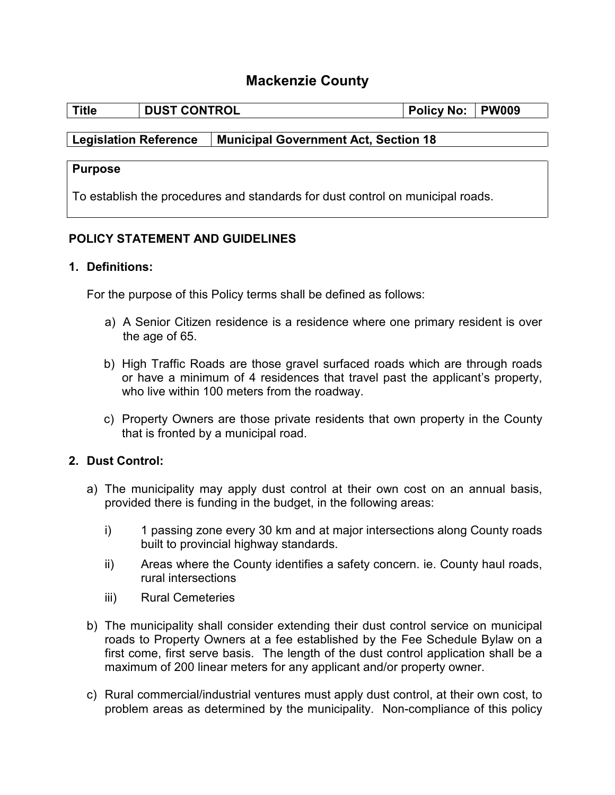# **Mackenzie County**

| Title | <b>DUST CONTROL</b> | <b>Policy No:</b> | <b>PW009</b> |
|-------|---------------------|-------------------|--------------|

### **Legislation Reference Municipal Government Act, Section 18**

#### **Purpose**

To establish the procedures and standards for dust control on municipal roads.

### **POLICY STATEMENT AND GUIDELINES**

#### **1. Definitions:**

For the purpose of this Policy terms shall be defined as follows:

- a) A Senior Citizen residence is a residence where one primary resident is over the age of 65.
- b) High Traffic Roads are those gravel surfaced roads which are through roads or have a minimum of 4 residences that travel past the applicant's property, who live within 100 meters from the roadway.
- c) Property Owners are those private residents that own property in the County that is fronted by a municipal road.

# **2. Dust Control:**

- a) The municipality may apply dust control at their own cost on an annual basis, provided there is funding in the budget, in the following areas:
	- i) 1 passing zone every 30 km and at major intersections along County roads built to provincial highway standards.
	- ii) Areas where the County identifies a safety concern. ie. County haul roads, rural intersections
	- iii) Rural Cemeteries
- b) The municipality shall consider extending their dust control service on municipal roads to Property Owners at a fee established by the Fee Schedule Bylaw on a first come, first serve basis. The length of the dust control application shall be a maximum of 200 linear meters for any applicant and/or property owner.
- c) Rural commercial/industrial ventures must apply dust control, at their own cost, to problem areas as determined by the municipality. Non-compliance of this policy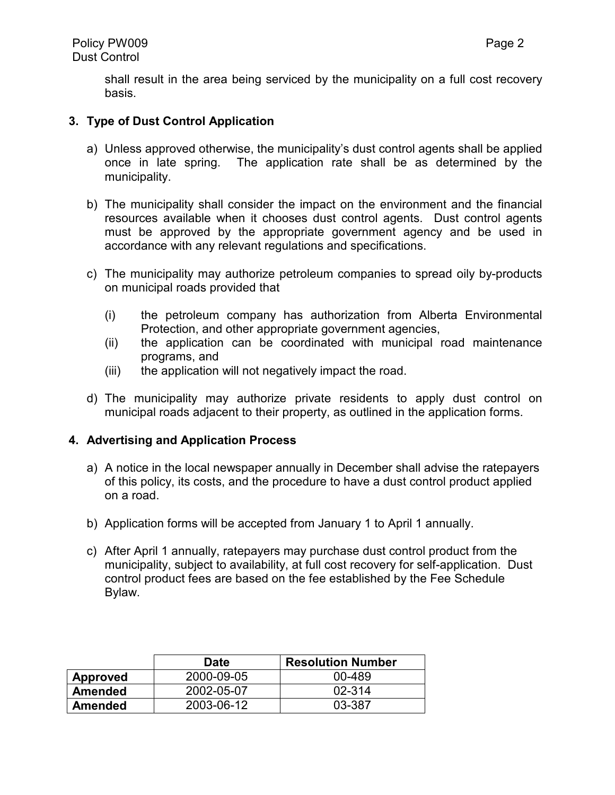shall result in the area being serviced by the municipality on a full cost recovery basis.

# **3. Type of Dust Control Application**

- a) Unless approved otherwise, the municipality's dust control agents shall be applied once in late spring. The application rate shall be as determined by the municipality.
- b) The municipality shall consider the impact on the environment and the financial resources available when it chooses dust control agents. Dust control agents must be approved by the appropriate government agency and be used in accordance with any relevant regulations and specifications.
- c) The municipality may authorize petroleum companies to spread oily by-products on municipal roads provided that
	- (i) the petroleum company has authorization from Alberta Environmental Protection, and other appropriate government agencies,
	- (ii) the application can be coordinated with municipal road maintenance programs, and
	- (iii) the application will not negatively impact the road.
- d) The municipality may authorize private residents to apply dust control on municipal roads adjacent to their property, as outlined in the application forms.

#### **4. Advertising and Application Process**

- a) A notice in the local newspaper annually in December shall advise the ratepayers of this policy, its costs, and the procedure to have a dust control product applied on a road.
- b) Application forms will be accepted from January 1 to April 1 annually.
- c) After April 1 annually, ratepayers may purchase dust control product from the municipality, subject to availability, at full cost recovery for self-application. Dust control product fees are based on the fee established by the Fee Schedule Bylaw.

|          | <b>Date</b> | <b>Resolution Number</b> |
|----------|-------------|--------------------------|
| Approved | 2000-09-05  | 00-489                   |
| Amended  | 2002-05-07  | 02-314                   |
| Amended  | 2003-06-12  | 03-387                   |